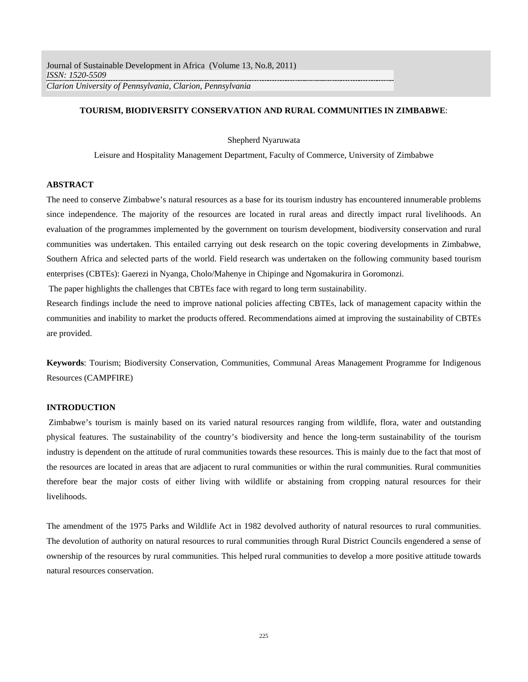### **TOURISM, BIODIVERSITY CONSERVATION AND RURAL COMMUNITIES IN ZIMBABWE**:

Shepherd Nyaruwata

Leisure and Hospitality Management Department, Faculty of Commerce, University of Zimbabwe

# **ABSTRACT**

The need to conserve Zimbabwe's natural resources as a base for its tourism industry has encountered innumerable problems since independence. The majority of the resources are located in rural areas and directly impact rural livelihoods. An evaluation of the programmes implemented by the government on tourism development, biodiversity conservation and rural communities was undertaken. This entailed carrying out desk research on the topic covering developments in Zimbabwe, Southern Africa and selected parts of the world. Field research was undertaken on the following community based tourism enterprises (CBTEs): Gaerezi in Nyanga, Cholo/Mahenye in Chipinge and Ngomakurira in Goromonzi.

The paper highlights the challenges that CBTEs face with regard to long term sustainability.

Research findings include the need to improve national policies affecting CBTEs, lack of management capacity within the communities and inability to market the products offered. Recommendations aimed at improving the sustainability of CBTEs are provided.

**Keywords**: Tourism; Biodiversity Conservation, Communities, Communal Areas Management Programme for Indigenous Resources (CAMPFIRE)

# **INTRODUCTION**

 Zimbabwe's tourism is mainly based on its varied natural resources ranging from wildlife, flora, water and outstanding physical features. The sustainability of the country's biodiversity and hence the long-term sustainability of the tourism industry is dependent on the attitude of rural communities towards these resources. This is mainly due to the fact that most of the resources are located in areas that are adjacent to rural communities or within the rural communities. Rural communities therefore bear the major costs of either living with wildlife or abstaining from cropping natural resources for their livelihoods.

The amendment of the 1975 Parks and Wildlife Act in 1982 devolved authority of natural resources to rural communities. The devolution of authority on natural resources to rural communities through Rural District Councils engendered a sense of ownership of the resources by rural communities. This helped rural communities to develop a more positive attitude towards natural resources conservation.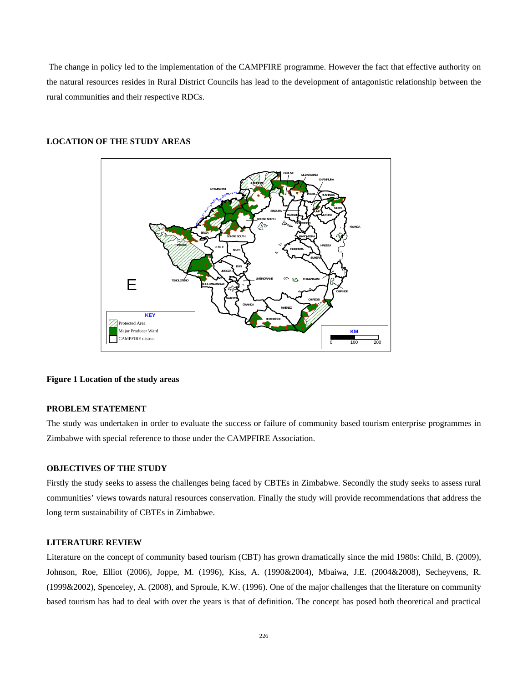The change in policy led to the implementation of the CAMPFIRE programme. However the fact that effective authority on the natural resources resides in Rural District Councils has lead to the development of antagonistic relationship between the rural communities and their respective RDCs.



# **LOCATION OF THE STUDY AREAS**

# **Figure 1 Location of the study areas**

### **PROBLEM STATEMENT**

The study was undertaken in order to evaluate the success or failure of community based tourism enterprise programmes in Zimbabwe with special reference to those under the CAMPFIRE Association.

### **OBJECTIVES OF THE STUDY**

Firstly the study seeks to assess the challenges being faced by CBTEs in Zimbabwe. Secondly the study seeks to assess rural communities' views towards natural resources conservation. Finally the study will provide recommendations that address the long term sustainability of CBTEs in Zimbabwe.

# **LITERATURE REVIEW**

Literature on the concept of community based tourism (CBT) has grown dramatically since the mid 1980s: Child, B. (2009), Johnson, Roe, Elliot (2006), Joppe, M. (1996), Kiss, A. (1990&2004), Mbaiwa, J.E. (2004&2008), Secheyvens, R. (1999&2002), Spenceley, A. (2008), and Sproule, K.W. (1996). One of the major challenges that the literature on community based tourism has had to deal with over the years is that of definition. The concept has posed both theoretical and practical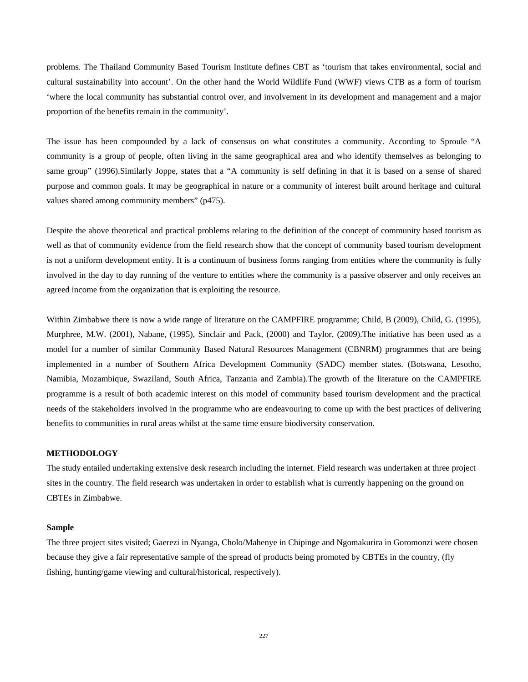problems. The Thailand Community Based Tourism Institute defines CBT as 'tourism that takes environmental, social and cultural sustainability into account'. On the other hand the World Wildlife Fund (WWF) views CTB as a form of tourism 'where the local community has substantial control over, and involvement in its development and management and a major proportion of the benefits remain in the community'.

The issue has been compounded by a lack of consensus on what constitutes a community. According to Sproule "A community is a group of people, often living in the same geographical area and who identify themselves as belonging to same group" (1996).Similarly Joppe, states that a "A community is self defining in that it is based on a sense of shared purpose and common goals. It may be geographical in nature or a community of interest built around heritage and cultural values shared among community members" (p475).

Despite the above theoretical and practical problems relating to the definition of the concept of community based tourism as well as that of community evidence from the field research show that the concept of community based tourism development is not a uniform development entity. It is a continuum of business forms ranging from entities where the community is fully involved in the day to day running of the venture to entities where the community is a passive observer and only receives an agreed income from the organization that is exploiting the resource.

Within Zimbabwe there is now a wide range of literature on the CAMPFIRE programme; Child, B (2009), Child, G. (1995), Murphree, M.W. (2001), Nabane, (1995), Sinclair and Pack, (2000) and Taylor, (2009).The initiative has been used as a model for a number of similar Community Based Natural Resources Management (CBNRM) programmes that are being implemented in a number of Southern Africa Development Community (SADC) member states. (Botswana, Lesotho, Namibia, Mozambique, Swaziland, South Africa, Tanzania and Zambia).The growth of the literature on the CAMPFIRE programme is a result of both academic interest on this model of community based tourism development and the practical needs of the stakeholders involved in the programme who are endeavouring to come up with the best practices of delivering benefits to communities in rural areas whilst at the same time ensure biodiversity conservation.

### **METHODOLOGY**

The study entailed undertaking extensive desk research including the internet. Field research was undertaken at three project sites in the country. The field research was undertaken in order to establish what is currently happening on the ground on CBTEs in Zimbabwe.

#### **Sample**

The three project sites visited; Gaerezi in Nyanga, Cholo/Mahenye in Chipinge and Ngomakurira in Goromonzi were chosen because they give a fair representative sample of the spread of products being promoted by CBTEs in the country, (fly fishing, hunting/game viewing and cultural/historical, respectively).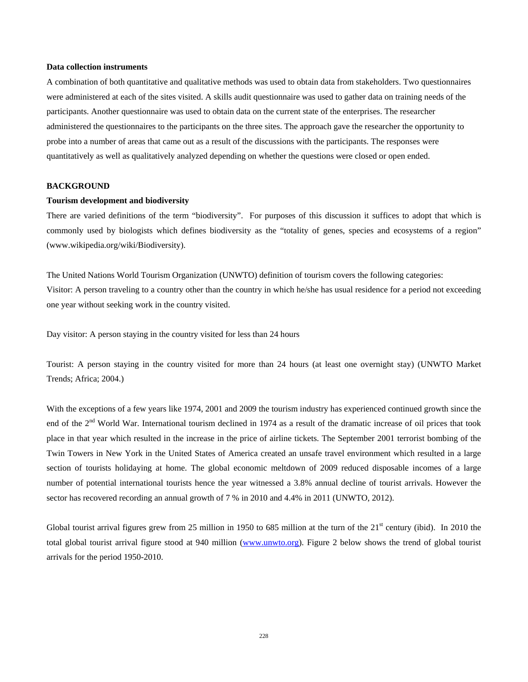### **Data collection instruments**

A combination of both quantitative and qualitative methods was used to obtain data from stakeholders. Two questionnaires were administered at each of the sites visited. A skills audit questionnaire was used to gather data on training needs of the participants. Another questionnaire was used to obtain data on the current state of the enterprises. The researcher administered the questionnaires to the participants on the three sites. The approach gave the researcher the opportunity to probe into a number of areas that came out as a result of the discussions with the participants. The responses were quantitatively as well as qualitatively analyzed depending on whether the questions were closed or open ended.

### **BACKGROUND**

#### **Tourism development and biodiversity**

There are varied definitions of the term "biodiversity". For purposes of this discussion it suffices to adopt that which is commonly used by biologists which defines biodiversity as the "totality of genes, species and ecosystems of a region" (www.wikipedia.org/wiki/Biodiversity).

The United Nations World Tourism Organization (UNWTO) definition of tourism covers the following categories: Visitor: A person traveling to a country other than the country in which he/she has usual residence for a period not exceeding one year without seeking work in the country visited.

Day visitor: A person staying in the country visited for less than 24 hours

Tourist: A person staying in the country visited for more than 24 hours (at least one overnight stay) (UNWTO Market Trends; Africa; 2004.)

With the exceptions of a few years like 1974, 2001 and 2009 the tourism industry has experienced continued growth since the end of the 2<sup>nd</sup> World War. International tourism declined in 1974 as a result of the dramatic increase of oil prices that took place in that year which resulted in the increase in the price of airline tickets. The September 2001 terrorist bombing of the Twin Towers in New York in the United States of America created an unsafe travel environment which resulted in a large section of tourists holidaying at home. The global economic meltdown of 2009 reduced disposable incomes of a large number of potential international tourists hence the year witnessed a 3.8% annual decline of tourist arrivals. However the sector has recovered recording an annual growth of 7 % in 2010 and 4.4% in 2011 (UNWTO, 2012).

Global tourist arrival figures grew from 25 million in 1950 to 685 million at the turn of the  $21<sup>st</sup>$  century (ibid). In 2010 the total global tourist arrival figure stood at 940 million (www.unwto.org). Figure 2 below shows the trend of global tourist arrivals for the period 1950-2010.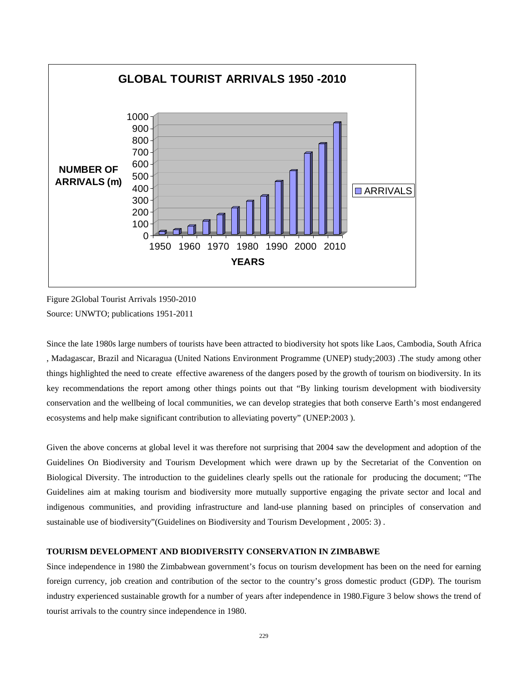

# Figure 2Global Tourist Arrivals 1950-2010 Source: UNWTO; publications 1951-2011

Since the late 1980s large numbers of tourists have been attracted to biodiversity hot spots like Laos, Cambodia, South Africa , Madagascar, Brazil and Nicaragua (United Nations Environment Programme (UNEP) study;2003) .The study among other things highlighted the need to create effective awareness of the dangers posed by the growth of tourism on biodiversity. In its key recommendations the report among other things points out that "By linking tourism development with biodiversity conservation and the wellbeing of local communities, we can develop strategies that both conserve Earth's most endangered ecosystems and help make significant contribution to alleviating poverty" (UNEP:2003 ).

Given the above concerns at global level it was therefore not surprising that 2004 saw the development and adoption of the Guidelines On Biodiversity and Tourism Development which were drawn up by the Secretariat of the Convention on Biological Diversity. The introduction to the guidelines clearly spells out the rationale for producing the document; "The Guidelines aim at making tourism and biodiversity more mutually supportive engaging the private sector and local and indigenous communities, and providing infrastructure and land-use planning based on principles of conservation and sustainable use of biodiversity"(Guidelines on Biodiversity and Tourism Development , 2005: 3) .

# **TOURISM DEVELOPMENT AND BIODIVERSITY CONSERVATION IN ZIMBABWE**

Since independence in 1980 the Zimbabwean government's focus on tourism development has been on the need for earning foreign currency, job creation and contribution of the sector to the country's gross domestic product (GDP). The tourism industry experienced sustainable growth for a number of years after independence in 1980.Figure 3 below shows the trend of tourist arrivals to the country since independence in 1980.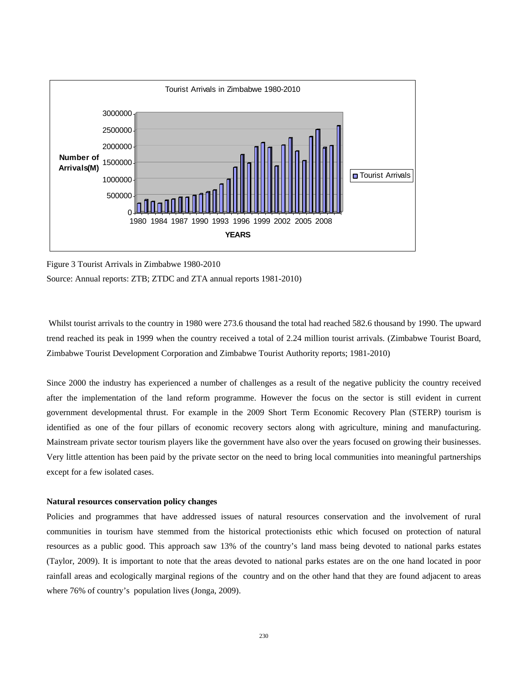

Figure 3 Tourist Arrivals in Zimbabwe 1980-2010 Source: Annual reports: ZTB; ZTDC and ZTA annual reports 1981-2010)

 Whilst tourist arrivals to the country in 1980 were 273.6 thousand the total had reached 582.6 thousand by 1990. The upward trend reached its peak in 1999 when the country received a total of 2.24 million tourist arrivals. (Zimbabwe Tourist Board, Zimbabwe Tourist Development Corporation and Zimbabwe Tourist Authority reports; 1981-2010)

Since 2000 the industry has experienced a number of challenges as a result of the negative publicity the country received after the implementation of the land reform programme. However the focus on the sector is still evident in current government developmental thrust. For example in the 2009 Short Term Economic Recovery Plan (STERP) tourism is identified as one of the four pillars of economic recovery sectors along with agriculture, mining and manufacturing. Mainstream private sector tourism players like the government have also over the years focused on growing their businesses. Very little attention has been paid by the private sector on the need to bring local communities into meaningful partnerships except for a few isolated cases.

#### **Natural resources conservation policy changes**

Policies and programmes that have addressed issues of natural resources conservation and the involvement of rural communities in tourism have stemmed from the historical protectionists ethic which focused on protection of natural resources as a public good. This approach saw 13% of the country's land mass being devoted to national parks estates (Taylor, 2009). It is important to note that the areas devoted to national parks estates are on the one hand located in poor rainfall areas and ecologically marginal regions of the country and on the other hand that they are found adjacent to areas where 76% of country's population lives (Jonga, 2009).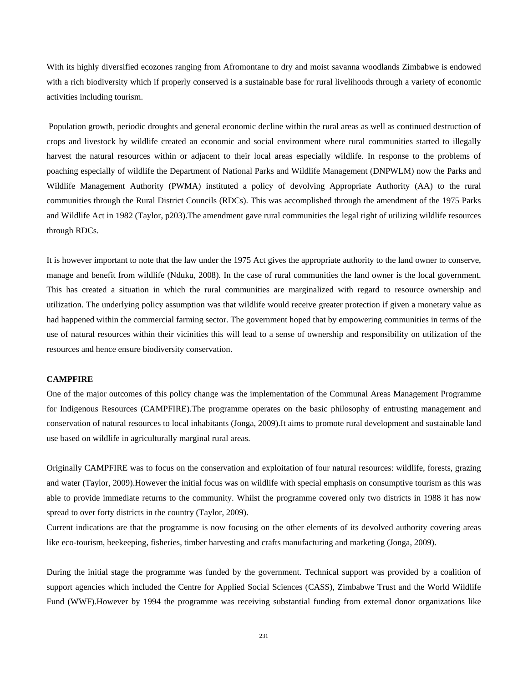With its highly diversified ecozones ranging from Afromontane to dry and moist savanna woodlands Zimbabwe is endowed with a rich biodiversity which if properly conserved is a sustainable base for rural livelihoods through a variety of economic activities including tourism.

 Population growth, periodic droughts and general economic decline within the rural areas as well as continued destruction of crops and livestock by wildlife created an economic and social environment where rural communities started to illegally harvest the natural resources within or adjacent to their local areas especially wildlife. In response to the problems of poaching especially of wildlife the Department of National Parks and Wildlife Management (DNPWLM) now the Parks and Wildlife Management Authority (PWMA) instituted a policy of devolving Appropriate Authority (AA) to the rural communities through the Rural District Councils (RDCs). This was accomplished through the amendment of the 1975 Parks and Wildlife Act in 1982 (Taylor, p203).The amendment gave rural communities the legal right of utilizing wildlife resources through RDCs.

It is however important to note that the law under the 1975 Act gives the appropriate authority to the land owner to conserve, manage and benefit from wildlife (Nduku, 2008). In the case of rural communities the land owner is the local government. This has created a situation in which the rural communities are marginalized with regard to resource ownership and utilization. The underlying policy assumption was that wildlife would receive greater protection if given a monetary value as had happened within the commercial farming sector. The government hoped that by empowering communities in terms of the use of natural resources within their vicinities this will lead to a sense of ownership and responsibility on utilization of the resources and hence ensure biodiversity conservation.

# **CAMPFIRE**

One of the major outcomes of this policy change was the implementation of the Communal Areas Management Programme for Indigenous Resources (CAMPFIRE).The programme operates on the basic philosophy of entrusting management and conservation of natural resources to local inhabitants (Jonga, 2009).It aims to promote rural development and sustainable land use based on wildlife in agriculturally marginal rural areas.

Originally CAMPFIRE was to focus on the conservation and exploitation of four natural resources: wildlife, forests, grazing and water (Taylor, 2009).However the initial focus was on wildlife with special emphasis on consumptive tourism as this was able to provide immediate returns to the community. Whilst the programme covered only two districts in 1988 it has now spread to over forty districts in the country (Taylor, 2009).

Current indications are that the programme is now focusing on the other elements of its devolved authority covering areas like eco-tourism, beekeeping, fisheries, timber harvesting and crafts manufacturing and marketing (Jonga, 2009).

During the initial stage the programme was funded by the government. Technical support was provided by a coalition of support agencies which included the Centre for Applied Social Sciences (CASS), Zimbabwe Trust and the World Wildlife Fund (WWF).However by 1994 the programme was receiving substantial funding from external donor organizations like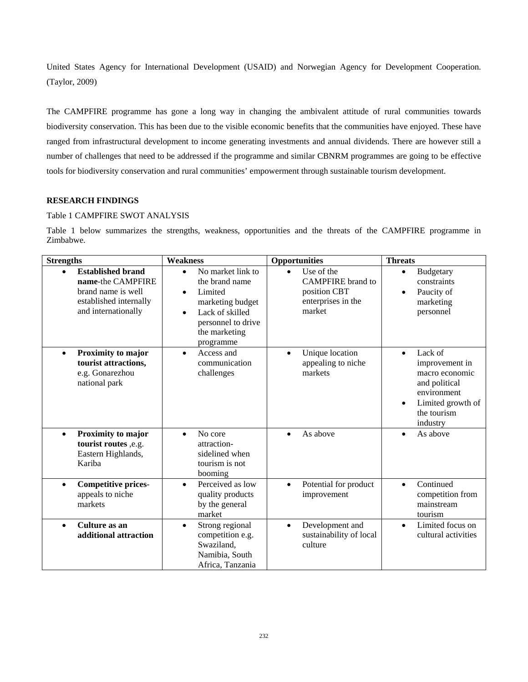United States Agency for International Development (USAID) and Norwegian Agency for Development Cooperation. (Taylor, 2009)

The CAMPFIRE programme has gone a long way in changing the ambivalent attitude of rural communities towards biodiversity conservation. This has been due to the visible economic benefits that the communities have enjoyed. These have ranged from infrastructural development to income generating investments and annual dividends. There are however still a number of challenges that need to be addressed if the programme and similar CBNRM programmes are going to be effective tools for biodiversity conservation and rural communities' empowerment through sustainable tourism development.

# **RESEARCH FINDINGS**

# Table 1 CAMPFIRE SWOT ANALYSIS

Table 1 below summarizes the strengths, weakness, opportunities and the threats of the CAMPFIRE programme in Zimbabwe.

| <b>Strengths</b>                                                                                                                  | <b>Weakness</b>                                                                                                                                                                  | <b>Opportunities</b>                                                                                | <b>Threats</b>                                                                                                                                        |
|-----------------------------------------------------------------------------------------------------------------------------------|----------------------------------------------------------------------------------------------------------------------------------------------------------------------------------|-----------------------------------------------------------------------------------------------------|-------------------------------------------------------------------------------------------------------------------------------------------------------|
| <b>Established brand</b><br>$\bullet$<br>name-the CAMPFIRE<br>brand name is well<br>established internally<br>and internationally | No market link to<br>$\bullet$<br>the brand name<br>Limited<br>$\bullet$<br>marketing budget<br>Lack of skilled<br>$\bullet$<br>personnel to drive<br>the marketing<br>programme | Use of the<br>$\bullet$<br><b>CAMPFIRE</b> brand to<br>position CBT<br>enterprises in the<br>market | Budgetary<br>$\bullet$<br>constraints<br>Paucity of<br>$\bullet$<br>marketing<br>personnel                                                            |
| Proximity to major<br>$\bullet$<br>tourist attractions,<br>e.g. Gonarezhou<br>national park                                       | Access and<br>$\bullet$<br>communication<br>challenges                                                                                                                           | Unique location<br>$\bullet$<br>appealing to niche<br>markets                                       | Lack of<br>$\bullet$<br>improvement in<br>macro economic<br>and political<br>environment<br>Limited growth of<br>$\bullet$<br>the tourism<br>industry |
| <b>Proximity to major</b><br>$\bullet$<br>tourist routes , e.g.<br>Eastern Highlands,<br>Kariba                                   | No core<br>$\bullet$<br>attraction-<br>sidelined when<br>tourism is not<br>booming                                                                                               | As above<br>$\bullet$                                                                               | As above<br>$\bullet$                                                                                                                                 |
| <b>Competitive prices-</b><br>$\bullet$<br>appeals to niche<br>markets                                                            | Perceived as low<br>$\bullet$<br>quality products<br>by the general<br>market                                                                                                    | Potential for product<br>$\bullet$<br>improvement                                                   | Continued<br>$\bullet$<br>competition from<br>mainstream<br>tourism                                                                                   |
| Culture as an<br>$\bullet$<br>additional attraction                                                                               | Strong regional<br>$\bullet$<br>competition e.g.<br>Swaziland,<br>Namibia, South<br>Africa, Tanzania                                                                             | Development and<br>$\bullet$<br>sustainability of local<br>culture                                  | Limited focus on<br>$\bullet$<br>cultural activities                                                                                                  |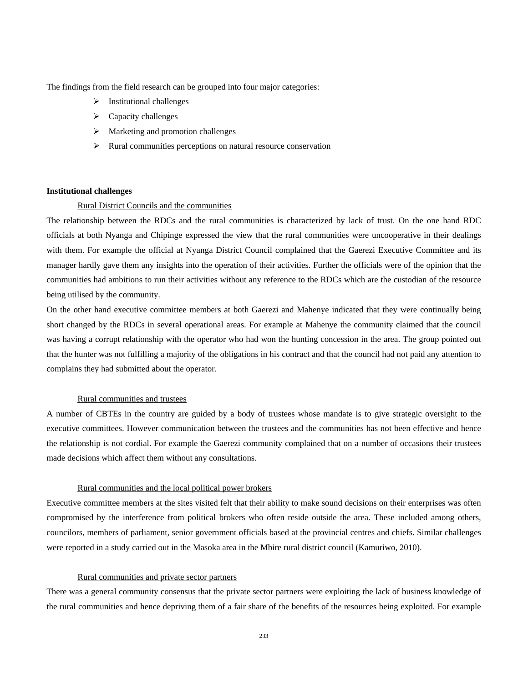The findings from the field research can be grouped into four major categories:

- $\triangleright$  Institutional challenges
- $\triangleright$  Capacity challenges
- $\triangleright$  Marketing and promotion challenges
- ¾ Rural communities perceptions on natural resource conservation

#### **Institutional challenges**

#### Rural District Councils and the communities

The relationship between the RDCs and the rural communities is characterized by lack of trust. On the one hand RDC officials at both Nyanga and Chipinge expressed the view that the rural communities were uncooperative in their dealings with them. For example the official at Nyanga District Council complained that the Gaerezi Executive Committee and its manager hardly gave them any insights into the operation of their activities. Further the officials were of the opinion that the communities had ambitions to run their activities without any reference to the RDCs which are the custodian of the resource being utilised by the community.

On the other hand executive committee members at both Gaerezi and Mahenye indicated that they were continually being short changed by the RDCs in several operational areas. For example at Mahenye the community claimed that the council was having a corrupt relationship with the operator who had won the hunting concession in the area. The group pointed out that the hunter was not fulfilling a majority of the obligations in his contract and that the council had not paid any attention to complains they had submitted about the operator.

#### Rural communities and trustees

A number of CBTEs in the country are guided by a body of trustees whose mandate is to give strategic oversight to the executive committees. However communication between the trustees and the communities has not been effective and hence the relationship is not cordial. For example the Gaerezi community complained that on a number of occasions their trustees made decisions which affect them without any consultations.

### Rural communities and the local political power brokers

Executive committee members at the sites visited felt that their ability to make sound decisions on their enterprises was often compromised by the interference from political brokers who often reside outside the area. These included among others, councilors, members of parliament, senior government officials based at the provincial centres and chiefs. Similar challenges were reported in a study carried out in the Masoka area in the Mbire rural district council (Kamuriwo, 2010).

# Rural communities and private sector partners

There was a general community consensus that the private sector partners were exploiting the lack of business knowledge of the rural communities and hence depriving them of a fair share of the benefits of the resources being exploited. For example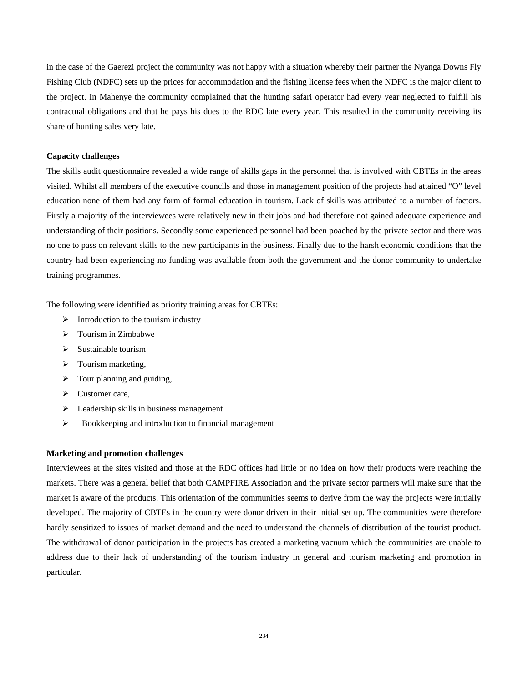in the case of the Gaerezi project the community was not happy with a situation whereby their partner the Nyanga Downs Fly Fishing Club (NDFC) sets up the prices for accommodation and the fishing license fees when the NDFC is the major client to the project. In Mahenye the community complained that the hunting safari operator had every year neglected to fulfill his contractual obligations and that he pays his dues to the RDC late every year. This resulted in the community receiving its share of hunting sales very late.

### **Capacity challenges**

The skills audit questionnaire revealed a wide range of skills gaps in the personnel that is involved with CBTEs in the areas visited. Whilst all members of the executive councils and those in management position of the projects had attained "O" level education none of them had any form of formal education in tourism. Lack of skills was attributed to a number of factors. Firstly a majority of the interviewees were relatively new in their jobs and had therefore not gained adequate experience and understanding of their positions. Secondly some experienced personnel had been poached by the private sector and there was no one to pass on relevant skills to the new participants in the business. Finally due to the harsh economic conditions that the country had been experiencing no funding was available from both the government and the donor community to undertake training programmes.

The following were identified as priority training areas for CBTEs:

- $\triangleright$  Introduction to the tourism industry
- $\triangleright$  Tourism in Zimbabwe
- $\triangleright$  Sustainable tourism
- $\triangleright$  Tourism marketing,
- $\triangleright$  Tour planning and guiding,
- ¾ Customer care,
- $\triangleright$  Leadership skills in business management
- ¾ Bookkeeping and introduction to financial management

### **Marketing and promotion challenges**

Interviewees at the sites visited and those at the RDC offices had little or no idea on how their products were reaching the markets. There was a general belief that both CAMPFIRE Association and the private sector partners will make sure that the market is aware of the products. This orientation of the communities seems to derive from the way the projects were initially developed. The majority of CBTEs in the country were donor driven in their initial set up. The communities were therefore hardly sensitized to issues of market demand and the need to understand the channels of distribution of the tourist product. The withdrawal of donor participation in the projects has created a marketing vacuum which the communities are unable to address due to their lack of understanding of the tourism industry in general and tourism marketing and promotion in particular.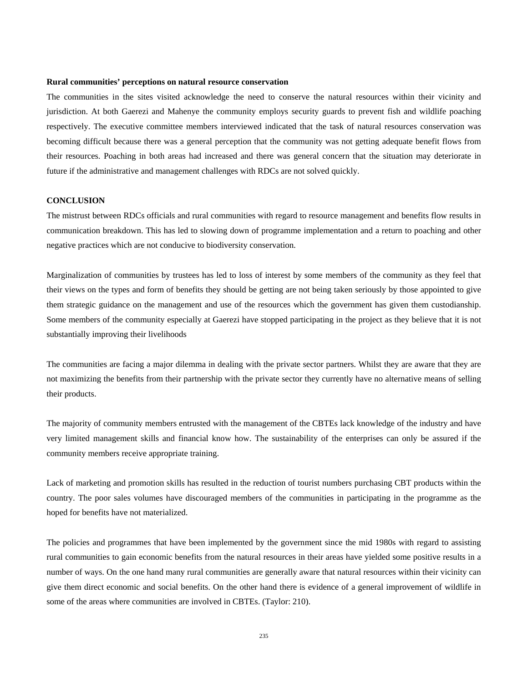#### **Rural communities' perceptions on natural resource conservation**

The communities in the sites visited acknowledge the need to conserve the natural resources within their vicinity and jurisdiction. At both Gaerezi and Mahenye the community employs security guards to prevent fish and wildlife poaching respectively. The executive committee members interviewed indicated that the task of natural resources conservation was becoming difficult because there was a general perception that the community was not getting adequate benefit flows from their resources. Poaching in both areas had increased and there was general concern that the situation may deteriorate in future if the administrative and management challenges with RDCs are not solved quickly.

# **CONCLUSION**

The mistrust between RDCs officials and rural communities with regard to resource management and benefits flow results in communication breakdown. This has led to slowing down of programme implementation and a return to poaching and other negative practices which are not conducive to biodiversity conservation.

Marginalization of communities by trustees has led to loss of interest by some members of the community as they feel that their views on the types and form of benefits they should be getting are not being taken seriously by those appointed to give them strategic guidance on the management and use of the resources which the government has given them custodianship. Some members of the community especially at Gaerezi have stopped participating in the project as they believe that it is not substantially improving their livelihoods

The communities are facing a major dilemma in dealing with the private sector partners. Whilst they are aware that they are not maximizing the benefits from their partnership with the private sector they currently have no alternative means of selling their products.

The majority of community members entrusted with the management of the CBTEs lack knowledge of the industry and have very limited management skills and financial know how. The sustainability of the enterprises can only be assured if the community members receive appropriate training.

Lack of marketing and promotion skills has resulted in the reduction of tourist numbers purchasing CBT products within the country. The poor sales volumes have discouraged members of the communities in participating in the programme as the hoped for benefits have not materialized.

The policies and programmes that have been implemented by the government since the mid 1980s with regard to assisting rural communities to gain economic benefits from the natural resources in their areas have yielded some positive results in a number of ways. On the one hand many rural communities are generally aware that natural resources within their vicinity can give them direct economic and social benefits. On the other hand there is evidence of a general improvement of wildlife in some of the areas where communities are involved in CBTEs. (Taylor: 210).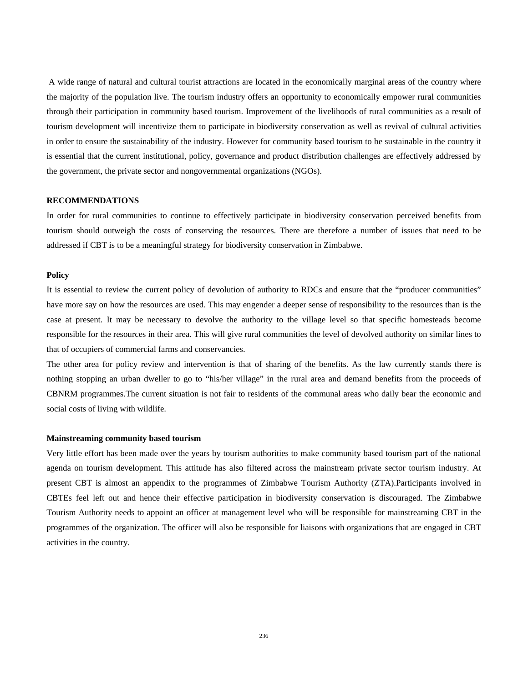A wide range of natural and cultural tourist attractions are located in the economically marginal areas of the country where the majority of the population live. The tourism industry offers an opportunity to economically empower rural communities through their participation in community based tourism. Improvement of the livelihoods of rural communities as a result of tourism development will incentivize them to participate in biodiversity conservation as well as revival of cultural activities in order to ensure the sustainability of the industry. However for community based tourism to be sustainable in the country it is essential that the current institutional, policy, governance and product distribution challenges are effectively addressed by the government, the private sector and nongovernmental organizations (NGOs).

# **RECOMMENDATIONS**

In order for rural communities to continue to effectively participate in biodiversity conservation perceived benefits from tourism should outweigh the costs of conserving the resources. There are therefore a number of issues that need to be addressed if CBT is to be a meaningful strategy for biodiversity conservation in Zimbabwe.

### **Policy**

It is essential to review the current policy of devolution of authority to RDCs and ensure that the "producer communities" have more say on how the resources are used. This may engender a deeper sense of responsibility to the resources than is the case at present. It may be necessary to devolve the authority to the village level so that specific homesteads become responsible for the resources in their area. This will give rural communities the level of devolved authority on similar lines to that of occupiers of commercial farms and conservancies.

The other area for policy review and intervention is that of sharing of the benefits. As the law currently stands there is nothing stopping an urban dweller to go to "his/her village" in the rural area and demand benefits from the proceeds of CBNRM programmes.The current situation is not fair to residents of the communal areas who daily bear the economic and social costs of living with wildlife.

#### **Mainstreaming community based tourism**

Very little effort has been made over the years by tourism authorities to make community based tourism part of the national agenda on tourism development. This attitude has also filtered across the mainstream private sector tourism industry. At present CBT is almost an appendix to the programmes of Zimbabwe Tourism Authority (ZTA).Participants involved in CBTEs feel left out and hence their effective participation in biodiversity conservation is discouraged. The Zimbabwe Tourism Authority needs to appoint an officer at management level who will be responsible for mainstreaming CBT in the programmes of the organization. The officer will also be responsible for liaisons with organizations that are engaged in CBT activities in the country.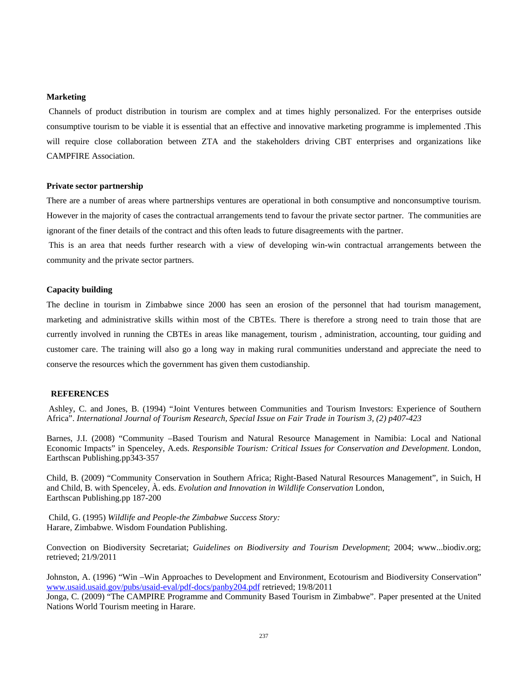#### **Marketing**

 Channels of product distribution in tourism are complex and at times highly personalized. For the enterprises outside consumptive tourism to be viable it is essential that an effective and innovative marketing programme is implemented .This will require close collaboration between ZTA and the stakeholders driving CBT enterprises and organizations like CAMPFIRE Association.

#### **Private sector partnership**

There are a number of areas where partnerships ventures are operational in both consumptive and nonconsumptive tourism. However in the majority of cases the contractual arrangements tend to favour the private sector partner. The communities are ignorant of the finer details of the contract and this often leads to future disagreements with the partner.

 This is an area that needs further research with a view of developing win-win contractual arrangements between the community and the private sector partners.

#### **Capacity building**

The decline in tourism in Zimbabwe since 2000 has seen an erosion of the personnel that had tourism management, marketing and administrative skills within most of the CBTEs. There is therefore a strong need to train those that are currently involved in running the CBTEs in areas like management, tourism , administration, accounting, tour guiding and customer care. The training will also go a long way in making rural communities understand and appreciate the need to conserve the resources which the government has given them custodianship.

### **REFERENCES**

 Ashley, C. and Jones, B. (1994) "Joint Ventures between Communities and Tourism Investors: Experience of Southern Africa". *International Journal of Tourism Research, Special Issue on Fair Trade in Tourism 3, (2) p407-423* 

Barnes, J.I. (2008) "Community –Based Tourism and Natural Resource Management in Namibia: Local and National Economic Impacts" in Spenceley, A.eds*. Responsible Tourism: Critical Issues for Conservation and Development*. London, Earthscan Publishing.pp343-357

Child, B. (2009) "Community Conservation in Southern Africa; Right-Based Natural Resources Management", in Suich, H and Child, B. with Spenceley, À. eds. *Evolution and Innovation in Wildlife Conservation* London, Earthscan Publishing.pp 187-200

 Child, G. (1995) *Wildlife and People-the Zimbabwe Success Story:* Harare, Zimbabwe. Wisdom Foundation Publishing.

Convection on Biodiversity Secretariat; *Guidelines on Biodiversity and Tourism Development*; 2004; www...biodiv.org; retrieved; 21/9/2011

Johnston, A. (1996) "Win –Win Approaches to Development and Environment, Ecotourism and Biodiversity Conservation" www.usaid.usaid.gov/pubs/usaid-eval/pdf-docs/panby204.pdf retrieved; 19/8/2011

Jonga, C. (2009) "The CAMPIRE Programme and Community Based Tourism in Zimbabwe". Paper presented at the United Nations World Tourism meeting in Harare.